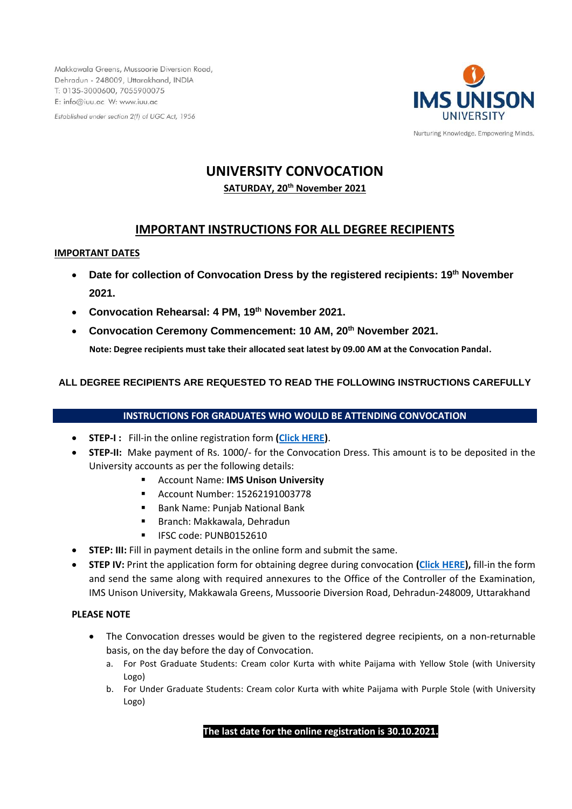Makkawala Greens, Mussoorie Diversion Road, Dehradun - 248009, Uttarakhand, INDIA T: 0135-3000600, 7055900075 E: info@iuu.ac W: www.iuu.ac

Established under section 2(f) of UGC Act, 1956



# **UNIVERSITY CONVOCATION**

**SATURDAY, 20th November 2021**

# **IMPORTANT INSTRUCTIONS FOR ALL DEGREE RECIPIENTS**

#### **IMPORTANT DATES**

- **Date for collection of Convocation Dress by the registered recipients: 19th November 2021.**
- **Convocation Rehearsal: 4 PM, 19th November 2021.**
- **Convocation Ceremony Commencement: 10 AM, 20th November 2021.**

 **Note: Degree recipients must take their allocated seat latest by 09.00 AM at the Convocation Pandal.**

# **ALL DEGREE RECIPIENTS ARE REQUESTED TO READ THE FOLLOWING INSTRUCTIONS CAREFULLY**

# **INSTRUCTIONS FOR GRADUATES WHO WOULD BE ATTENDING CONVOCATION**

- **STEP-I :** Fill-in the online registration form **[\(Click HERE\)](https://forms.office.com/Pages/ResponsePage.aspx?id=ijDXZen590ueqwl0o9CzAD9OkpWUoxVKkZUM43BXOApUNE05TERJN0dEWkxLSExYOFBKVDNZR1FKOC4u)**.
- **STEP-II:** Make payment of Rs. 1000/- for the Convocation Dress. This amount is to be deposited in the University accounts as per the following details:
	- **Account Name: IMS Unison University**
	- Account Number: 15262191003778
	- Bank Name: Punjab National Bank
	- Branch: Makkawala, Dehradun
	- **■** IFSC code: PUNB0152610
- **STEP: III:** Fill in payment details in the online form and submit the same.
- **STEP IV:** Print the application form for obtaining degree during convocation **[\(Click HERE\)](https://www.iuu.ac/pdf/Form%20for%20obtaining%20Degreee%20during%20Convocation.pdf),** fill-in the form and send the same along with required annexures to the Office of the Controller of the Examination, IMS Unison University, Makkawala Greens, Mussoorie Diversion Road, Dehradun-248009, Uttarakhand

### **PLEASE NOTE**

- The Convocation dresses would be given to the registered degree recipients, on a non-returnable basis, on the day before the day of Convocation.
	- a. For Post Graduate Students: Cream color Kurta with white Paijama with Yellow Stole (with University Logo)
	- b. For Under Graduate Students: Cream color Kurta with white Paijama with Purple Stole (with University Logo)

# **The last date for the online registration is 30.10.2021.**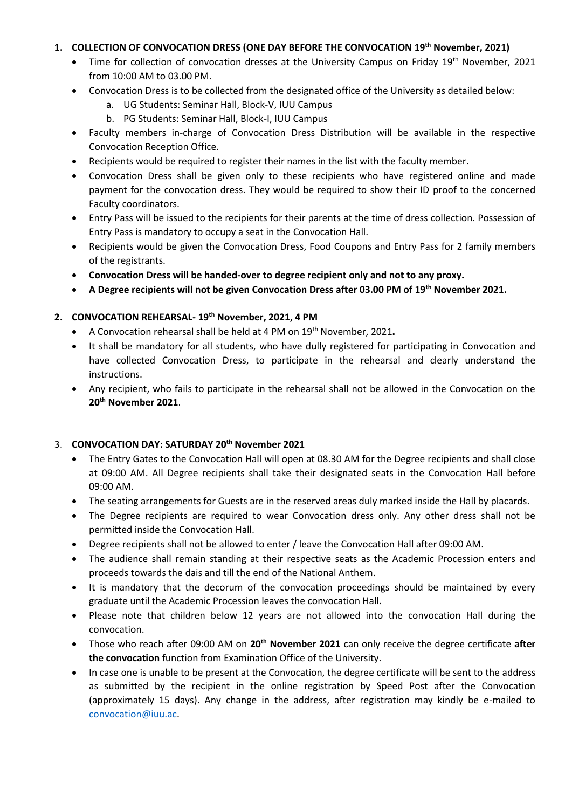# **1. COLLECTION OF CONVOCATION DRESS (ONE DAY BEFORE THE CONVOCATION 19th November, 2021)**

- Time for collection of convocation dresses at the University Campus on Friday 19<sup>th</sup> November, 2021 from 10:00 AM to 03.00 PM.
- Convocation Dress is to be collected from the designated office of the University as detailed below:
	- a. UG Students: Seminar Hall, Block-V, IUU Campus
	- b. PG Students: Seminar Hall, Block-I, IUU Campus
- Faculty members in-charge of Convocation Dress Distribution will be available in the respective Convocation Reception Office.
- Recipients would be required to register their names in the list with the faculty member.
- Convocation Dress shall be given only to these recipients who have registered online and made payment for the convocation dress. They would be required to show their ID proof to the concerned Faculty coordinators.
- Entry Pass will be issued to the recipients for their parents at the time of dress collection. Possession of Entry Pass is mandatory to occupy a seat in the Convocation Hall.
- Recipients would be given the Convocation Dress, Food Coupons and Entry Pass for 2 family members of the registrants.
- **Convocation Dress will be handed-over to degree recipient only and not to any proxy.**
- **A Degree recipients will not be given Convocation Dress after 03.00 PM of 19th November 2021.**

### **2. CONVOCATION REHEARSAL- 19th November, 2021, 4 PM**

- A Convocation rehearsal shall be held at 4 PM on 19th November, 2021**.**
- It shall be mandatory for all students, who have dully registered for participating in Convocation and have collected Convocation Dress, to participate in the rehearsal and clearly understand the instructions.
- Any recipient, who fails to participate in the rehearsal shall not be allowed in the Convocation on the **20th November 2021**.

# 3. **CONVOCATION DAY: SATURDAY 20th November 2021**

- The Entry Gates to the Convocation Hall will open at 08.30 AM for the Degree recipients and shall close at 09:00 AM. All Degree recipients shall take their designated seats in the Convocation Hall before 09:00 AM.
- The seating arrangements for Guests are in the reserved areas duly marked inside the Hall by placards.
- The Degree recipients are required to wear Convocation dress only. Any other dress shall not be permitted inside the Convocation Hall.
- Degree recipients shall not be allowed to enter / leave the Convocation Hall after 09:00 AM.
- The audience shall remain standing at their respective seats as the Academic Procession enters and proceeds towards the dais and till the end of the National Anthem.
- It is mandatory that the decorum of the convocation proceedings should be maintained by every graduate until the Academic Procession leaves the convocation Hall.
- Please note that children below 12 years are not allowed into the convocation Hall during the convocation.
- Those who reach after 09:00 AM on **20th November 2021** can only receive the degree certificate **after the convocation** function from Examination Office of the University.
- In case one is unable to be present at the Convocation, the degree certificate will be sent to the address as submitted by the recipient in the online registration by Speed Post after the Convocation (approximately 15 days). Any change in the address, after registration may kindly be e-mailed to [convocation@iuu.ac.](mailto:convocation@iuu.ac)